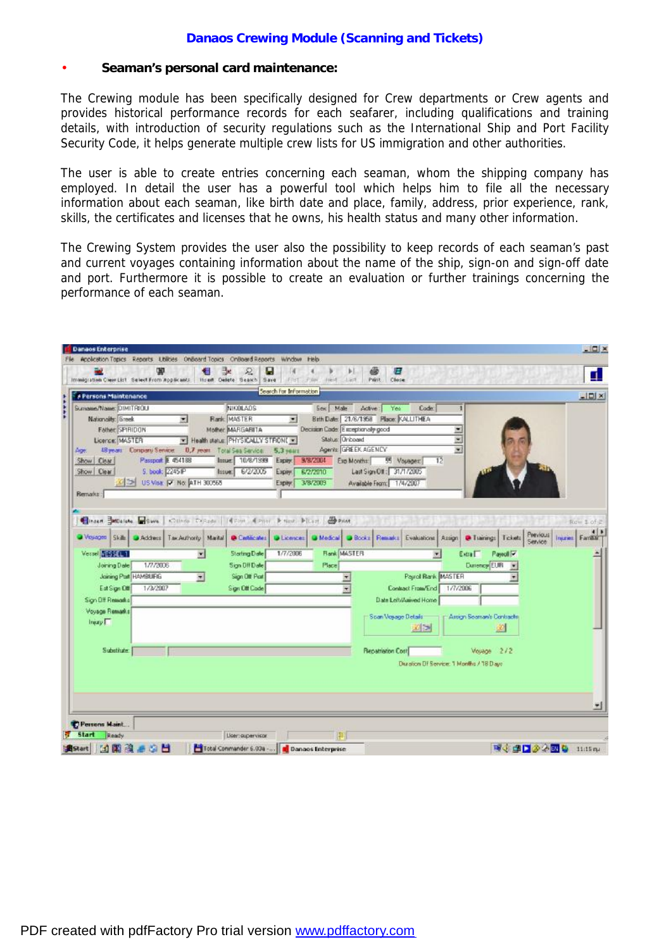## **Danaos Crewing Module (Scanning and Tickets)**

### • **Seaman's personal card maintenance:**

The Crewing module has been specifically designed for Crew departments or Crew agents and provides historical performance records for each seafarer, including qualifications and training details, with introduction of security regulations such as the International Ship and Port Facility Security Code, it helps generate multiple crew lists for US immigration and other authorities.

The user is able to create entries concerning each seaman, whom the shipping company has employed. In detail the user has a powerful tool which helps him to file all the necessary information about each seaman, like birth date and place, family, address, prior experience, rank, skills, the certificates and licenses that he owns, his health status and many other information.

The Crewing System provides the user also the possibility to keep records of each seaman's past and current voyages containing information about the name of the ship, sign-on and sign-off date and port. Furthermore it is possible to create an evaluation or further trainings concerning the performance of each seaman.

| ш<br>Immigration Clear List Select From Applicants                         | ₽<br>æ<br>Inself. Delete: Search Save | u<br>First Piler<br>Fried. | æ.<br>Ы<br>Check<br>山油井<br>Paint.                      |                                                                        | П                                          |
|----------------------------------------------------------------------------|---------------------------------------|----------------------------|--------------------------------------------------------|------------------------------------------------------------------------|--------------------------------------------|
| <b>F</b> Persons Maintenance                                               |                                       | Search For Information     |                                                        |                                                                        | $-121 \times$                              |
| Sumawe/Name: DIMITRIOU                                                     | NIKOLAOS                              | Sex Male                   | Adive:<br>Yes                                          | Code:                                                                  |                                            |
| <b>Nationality: Greek</b><br>$\overline{\phantom{a}}$                      | Rank: MASTER                          | $\blacksquare$             | Brth Date: 21/6/1958 Place: KALLITHEA                  |                                                                        |                                            |
| Father SPIRIDON                                                            | Mother: MARGARETA                     |                            | Decision Cade: Exceptionally good                      | 치                                                                      |                                            |
| Licence: MASTER                                                            | Health status: PHYSICALLY STRON( x)   |                            | Status: Onboard                                        | ×                                                                      |                                            |
| 48 years Company Service<br>Age:                                           | <b>0.7 years</b> Total Sea Service:   | 5,3 years                  | Agents: GREEK AGENCY                                   | $\overline{\phantom{a}}$                                               |                                            |
| Passport E 454188<br>Show Clear                                            | Insue: 18/8/1999                      | 9/8/2004<br>Eagley.        | Exp Months:<br>55 Voyager                              | $\overline{12}$                                                        |                                            |
| Show Clear<br>S. book: 2245 P                                              | hsue: 6/2/2005                        | 8/2/2010<br>Expire:        | Last Sign Off: 31/1/2005                               |                                                                        |                                            |
| US Visa P No. ATH 300565                                                   |                                       | <b>3/B/2009</b><br>Expiry: | Available Fears: 1/4/2007                              |                                                                        |                                            |
| Remarks:                                                                   |                                       |                            |                                                        |                                                                        |                                            |
|                                                                            |                                       |                            |                                                        |                                                                        |                                            |
| Threat SMDaleke Save Chines Discolar I Filed & Prior & Next Picart & Print |                                       |                            |                                                        |                                                                        | Row 1 of 2                                 |
| Woyages Skills Address Tax Authority Marital                               | <b>O</b> Continuing                   |                            | Distence: DiMedical DiBooks Restart Evaluations Assign | <b>D</b> Tianings Tickets                                              | $+1+$<br>Peevious  <br>Insuries<br>Service |
|                                                                            |                                       |                            |                                                        |                                                                        |                                            |
| Versel N&K441                                                              | <b>Starting Date</b><br>۰             | 1/7/2006                   | <b>Hank MASTER</b>                                     | Extra <sup>[</sup><br>Pareoll <sup>y</sup><br>$\overline{\phantom{a}}$ |                                            |
| Joining Date<br>1/7/2006                                                   | Sign Dff Date                         | Place                      |                                                        | Durency EUR                                                            |                                            |
| Joining Part HAMBURG                                                       | Sign Off Part<br>$\frac{1}{2}$        |                            | $\pmb{\tau}$                                           | Payrol Bank MASTER                                                     |                                            |
| 1/3/2007<br>Eat Sign Off                                                   | Sign Off Code                         |                            | Contract From/End<br>÷                                 | 1/7/2006                                                               |                                            |
| Sign Dff Remarks                                                           |                                       |                            | Date Left/Asswed Home                                  |                                                                        |                                            |
| Voyage Remarks                                                             |                                       |                            |                                                        |                                                                        |                                            |
|                                                                            |                                       |                            | Scan Voyage Details                                    | Arrigh Seaman's Contracts                                              |                                            |
| Injury F                                                                   |                                       |                            | 國国                                                     | $\mathcal{L}$                                                          |                                            |
|                                                                            |                                       |                            |                                                        |                                                                        |                                            |
| Substitute                                                                 |                                       |                            | <b>Repatriation Cost</b>                               | Vouage 2/2                                                             |                                            |
|                                                                            |                                       |                            |                                                        | Duration DF Service: 1 Months / 18 Days                                |                                            |
|                                                                            |                                       |                            |                                                        |                                                                        |                                            |
|                                                                            |                                       |                            |                                                        |                                                                        |                                            |
|                                                                            |                                       |                            |                                                        |                                                                        |                                            |
|                                                                            |                                       |                            |                                                        |                                                                        |                                            |
|                                                                            |                                       |                            |                                                        |                                                                        |                                            |
| Persons Maint                                                              |                                       |                            |                                                        |                                                                        |                                            |
| <b>Start</b><br>Ready<br>н                                                 | Lloen supervisor.                     |                            | 罪                                                      |                                                                        | 職业課日参会図 & 11d5mg                           |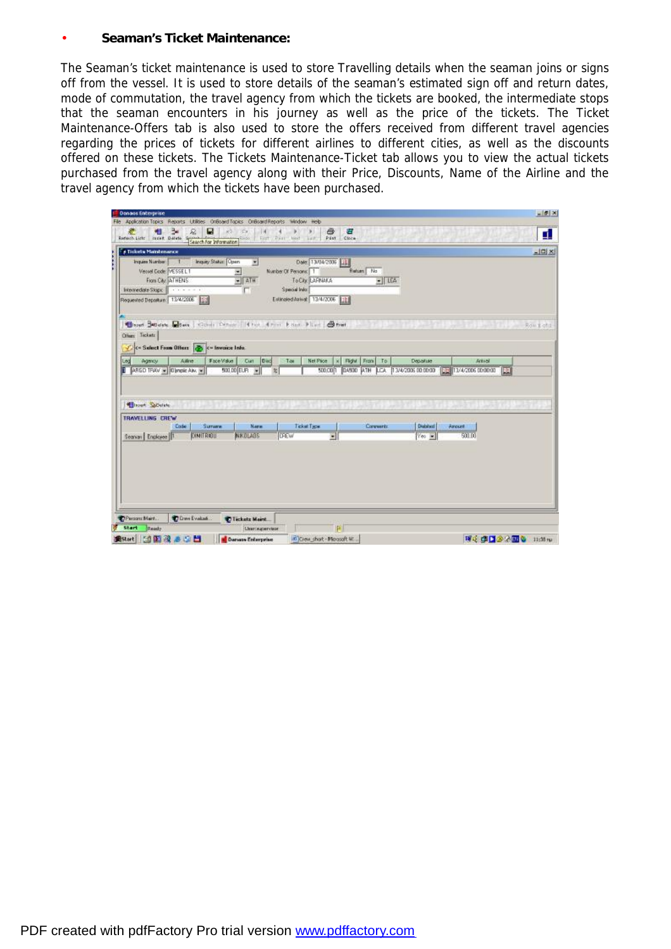#### • **Seaman's Ticket Maintenance:**

The Seaman's ticket maintenance is used to store Travelling details when the seaman joins or signs off from the vessel. It is used to store details of the seaman's estimated sign off and return dates, mode of commutation, the travel agency from which the tickets are booked, the intermediate stops that the seaman encounters in his journey as well as the price of the tickets. The Ticket Maintenance-Offers tab is also used to store the offers received from different travel agencies regarding the prices of tickets for different airlines to different cities, as well as the discounts offered on these tickets. The Tickets Maintenance-Ticket tab allows you to view the actual tickets purchased from the travel agency along with their Price, Discounts, Name of the Airline and the travel agency from which the tickets have been purchased.

| <b>F Tickets Maintenance</b>                                                                                                                                               | $2$ $\blacksquare$ $\sim$ |                |                                                                                                                       |                                                                                          |           |                 |        | $-101 \times$             |
|----------------------------------------------------------------------------------------------------------------------------------------------------------------------------|---------------------------|----------------|-----------------------------------------------------------------------------------------------------------------------|------------------------------------------------------------------------------------------|-----------|-----------------|--------|---------------------------|
| Inquire Number: 1 Imquiry Status: Open<br>Versel Code: VESSELT<br>From City: ATHENS<br>Internediate Stops:                          <br>Requested Departure: 13/4/2006 199 | 菌                         | Ξ<br>$ ATH$    | Date: 13/04/2006   18<br>Number Of Persons: 1<br>To City: LAPPIAKA<br>Special Info:<br>Estimated Asiwat 13/4/2006 111 | Return No                                                                                | $-1164$   |                 |        |                           |
| Closed Students and schools College of First Altern Edges Fixed Cheese.<br>Others Teckets                                                                                  |                           |                |                                                                                                                       |                                                                                          |           |                 |        | Row E of the Row E of the |
| C= Suboct From Offices & C= Invoice Info.                                                                                                                                  |                           |                |                                                                                                                       |                                                                                          |           |                 |        |                           |
|                                                                                                                                                                            |                           |                |                                                                                                                       |                                                                                          |           |                 |        |                           |
| Ailing<br>Leg<br>Agency<br>ARGD TRAV = 0 mpic Aiv. = 500.00 EUR =                                                                                                          | FaceMake                  | Carl Disc<br>架 | Net Plice<br>Tae                                                                                                      | K Flight From To<br>500.00 004800 ATH LCA 13/4/2006 00:00:00 00 12/4/2006 00:00:00 00 00 |           | Departure       | Arrust |                           |
| <b>Millsport SuDulute</b><br>Code                                                                                                                                          | Sumara                    | <b>Name</b>    | Ticket Type                                                                                                           |                                                                                          | Coreverts | <b>Databard</b> | Anount |                           |
| TRAVELLING CREW<br>Seanan Englose 1                                                                                                                                        | <b>CINITAIOU</b>          | <b>NKOLAOS</b> | <b>DREW</b>                                                                                                           | $\bullet$                                                                                |           | $Y \oplus V$    | 500.00 |                           |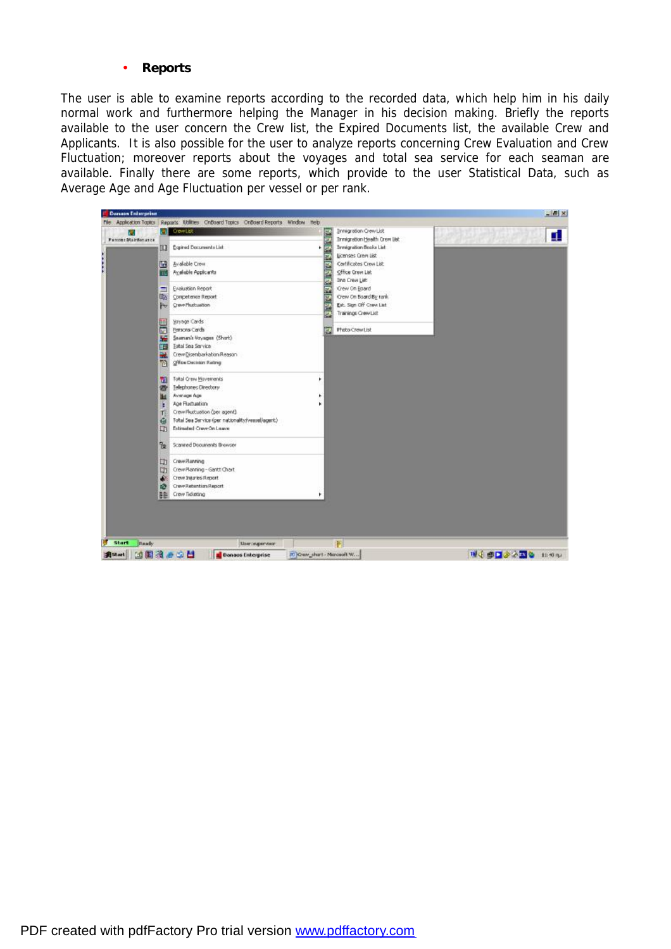#### • **Reports**

The user is able to examine reports according to the recorded data, which help him in his daily normal work and furthermore helping the Manager in his decision making. Briefly the reports available to the user concern the Crew list, the Expired Documents list, the available Crew and Applicants. It is also possible for the user to analyze reports concerning Crew Evaluation and Crew Fluctuation; moreover reports about the voyages and total sea service for each seaman are available. Finally there are some reports, which provide to the user Statistical Data, such as Average Age and Age Fluctuation per vessel or per rank.

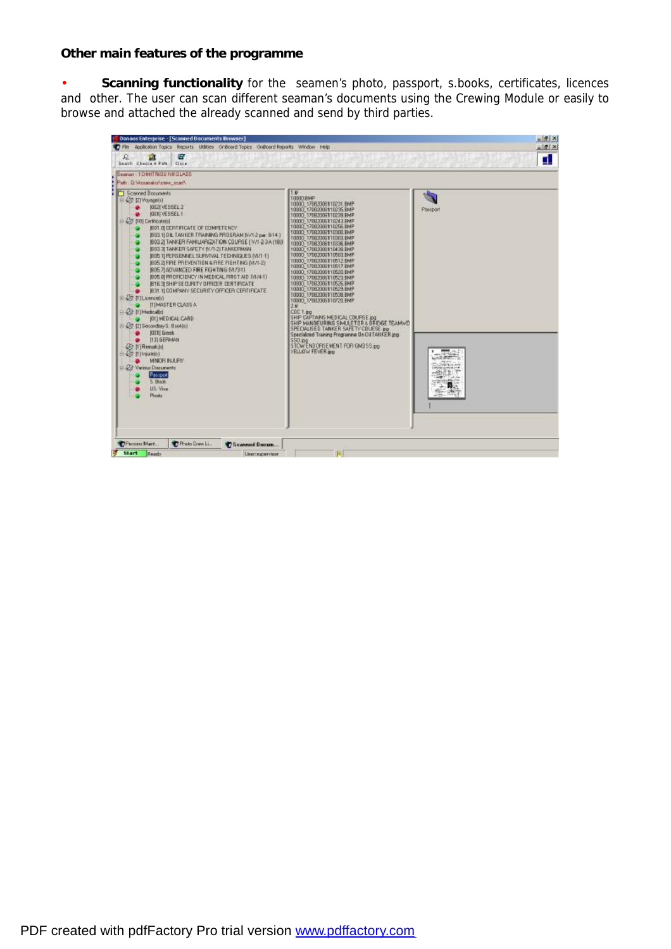## **Other main features of the programme**

• **Scanning functionality** for the seamen's photo, passport, s.books, certificates, licences and other. The user can scan different seaman's documents using the Crewing Module or easily to browse and attached the already scanned and send by third parties.

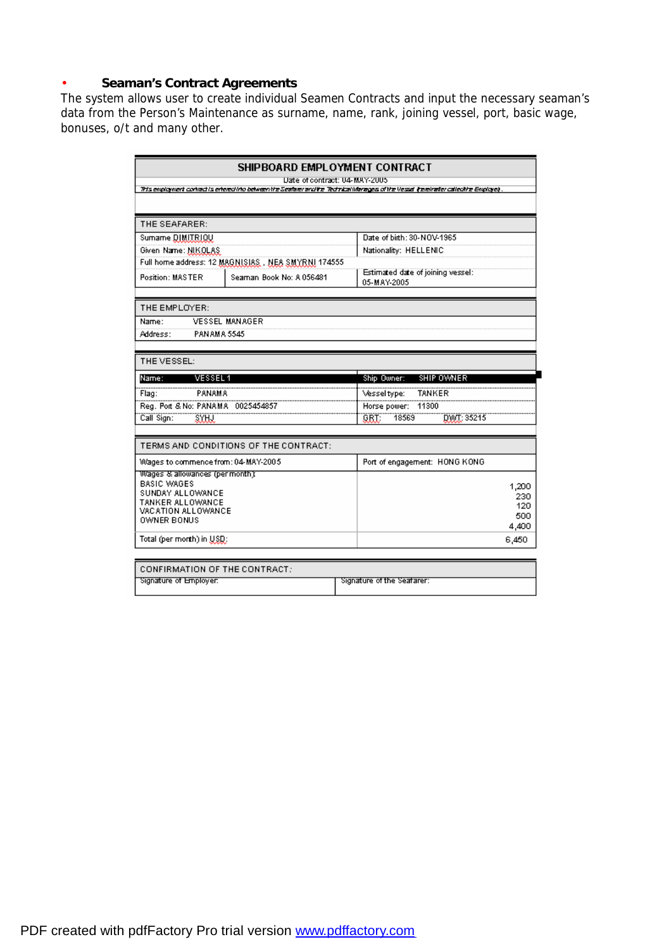# • **Seaman's Contract Agreements**

The system allows user to create individual Seamen Contracts and input the necessary seaman's data from the Person's Maintenance as surname, name, rank, joining vessel, port, basic wage, bonuses, o/t and many other.

|                                        | SHIPBOARD EMPLOYMENT CONTRACT<br>Date of contract: 04-MAY-2005 |                                                                                                                                       |            |
|----------------------------------------|----------------------------------------------------------------|---------------------------------------------------------------------------------------------------------------------------------------|------------|
|                                        |                                                                | Ris employment conhact is entered into between the Seafarer and the "Rothical Marages of the Vessal (hereinater callectine Employe) . |            |
|                                        |                                                                |                                                                                                                                       |            |
| THE SEAFARER:                          |                                                                |                                                                                                                                       |            |
| Sumame DIMITRIQU                       |                                                                | Date of birth: 30-NOV-1965                                                                                                            |            |
| Given Name: NIKOLAS                    |                                                                | Nationality: HELLENIC                                                                                                                 |            |
|                                        | Full home address: 12 MAGNISIAS, NEA SMYRNI 174555             |                                                                                                                                       |            |
| Position: MASTER                       | Seaman Book No: A 056481                                       | Estimated date of joining vessel:<br>05-MAY-2005                                                                                      |            |
| THE EMPLOYER:                          |                                                                |                                                                                                                                       |            |
| Name:                                  | <b>VESSEL MANAGER</b>                                          |                                                                                                                                       |            |
| Address:                               | <b>PANAMA 5545</b>                                             |                                                                                                                                       |            |
|                                        |                                                                |                                                                                                                                       |            |
| THE VESSEL:                            |                                                                |                                                                                                                                       |            |
| <b>VESSEL1</b><br>Name:                |                                                                | SHIP OWNER<br>Ship Owner:                                                                                                             |            |
| <b>PANAMA</b><br>Flag:                 |                                                                | <b>TANKER</b><br>Vessel type:                                                                                                         |            |
| Reg. Port & No: PANAMA 0025454857      |                                                                | <br>Horse power: 11300                                                                                                                |            |
| Call Sign:                             |                                                                | 18569<br>GRT.<br>DWT: 35215                                                                                                           |            |
|                                        |                                                                |                                                                                                                                       |            |
|                                        | TERMS AND CONDITIONS OF THE CONTRACT:                          |                                                                                                                                       |            |
| Wages to commence from: 04-MAY-2005    |                                                                | Port of engagement: HONG KONG                                                                                                         |            |
| Wages & allowances (permonth):         |                                                                |                                                                                                                                       |            |
| <b>BASIC WAGES</b><br>SUNDAY ALLOWANCE |                                                                |                                                                                                                                       | 1,200      |
| TANKER ALLOWANCE                       |                                                                |                                                                                                                                       | 230<br>120 |
| VACATION ALLOWANCE                     |                                                                |                                                                                                                                       | 500        |
| OWNER BONUS                            |                                                                |                                                                                                                                       | 4,400      |
| $Total (per month)$ in $USQ$ :         |                                                                |                                                                                                                                       | 6,450      |
|                                        |                                                                |                                                                                                                                       |            |

| I CONFIRMATION OF THE CONTRACT: $\,$ |                            |
|--------------------------------------|----------------------------|
| Signature of Employer.               | Signature of the Seafarer: |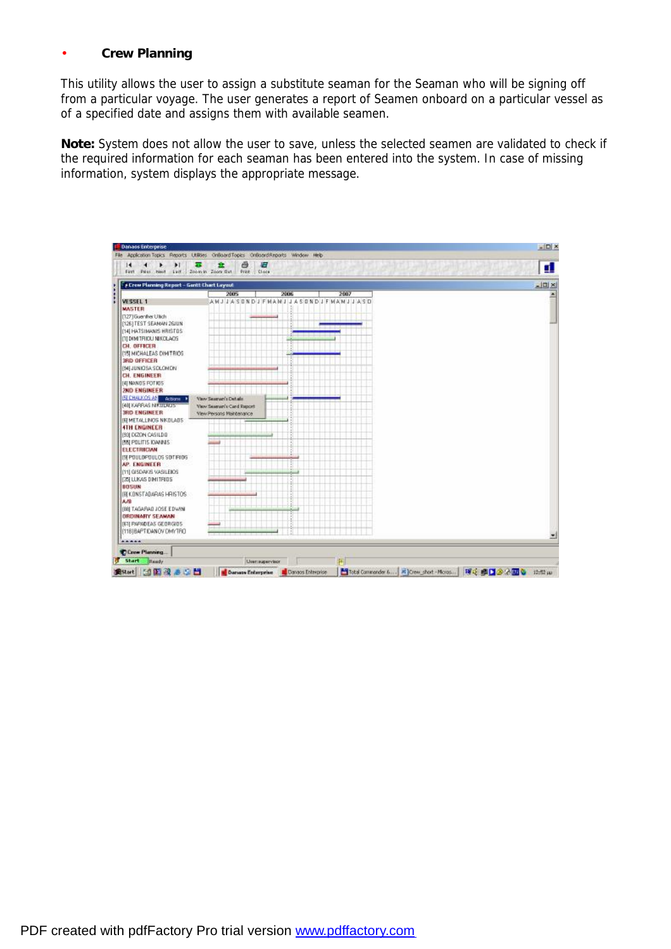# • **Crew Planning**

This utility allows the user to assign a substitute seaman for the Seaman who will be signing off from a particular voyage. The user generates a report of Seamen onboard on a particular vessel as of a specified date and assigns them with available seamen.

**Note:** System does not allow the user to save, unless the selected seamen are validated to check if the required information for each seaman has been entered into the system. In case of missing information, system displays the appropriate message.

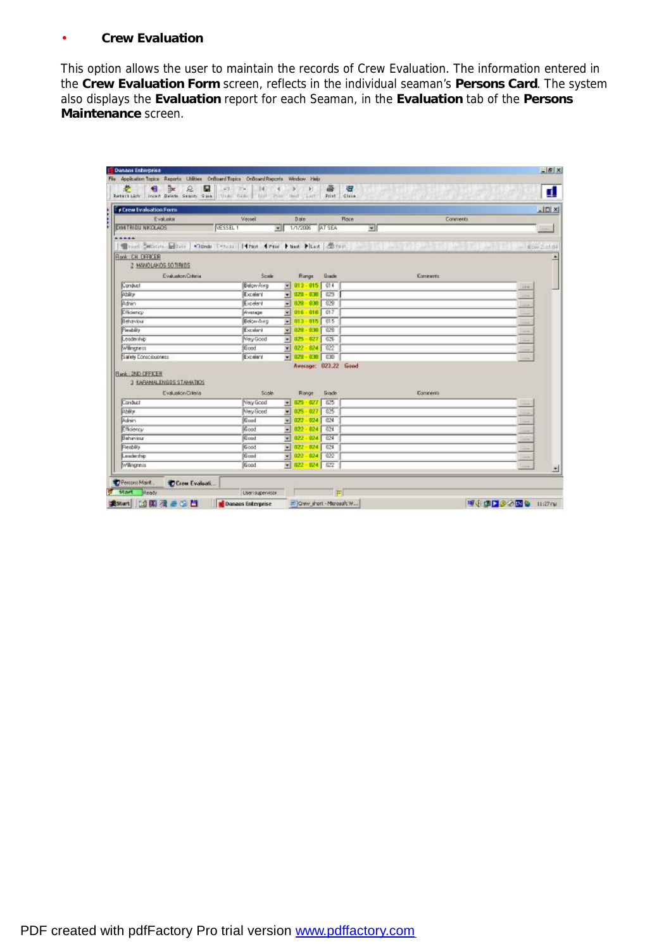## • **Crew Evaluation**

This option allows the user to maintain the records of Crew Evaluation. The information entered in the **Crew Evaluation Form** screen, reflects in the individual seaman's **Persons Card**. The system also displays the **Evaluation** report for each Seaman, in the **Evaluation** tab of the **Persons Maintenance** screen.

| <b>For Circum Evaluation Forms</b>                                          |                   |                         |               |                           |                   |                                    | $\Box$ DIXI  |
|-----------------------------------------------------------------------------|-------------------|-------------------------|---------------|---------------------------|-------------------|------------------------------------|--------------|
| Evaluator                                                                   | Verset            |                         | Date          |                           | Conments<br>Place |                                    |              |
| <b>DINTRIBU NKOL40S</b><br>VESSEL 1                                         |                   |                         |               | $\bullet$ 1/1/2006 AT SEA | 國                 |                                    | <b>COMPA</b> |
| *****                                                                       |                   |                         |               |                           |                   |                                    |              |
| Wright Monte, City   Clinds Criticis   Hyan   First   Hast   Hast   Cornell |                   |                         |               |                           |                   | <b>BARTINEA</b><br>LE DAY 2, 01:84 |              |
| Ronk: CH. OFFICER                                                           |                   |                         |               |                           |                   |                                    |              |
| 2 MANOLAKOS SO TIRIOS                                                       |                   |                         |               |                           |                   |                                    |              |
| Evaluation Criteria                                                         | Scale             |                         | <b>Flange</b> | <b>Gracle</b>             | Conwerts          |                                    |              |
| Conduct                                                                     | <b>Below Avrg</b> |                         |               | $013 - 015$ 014           |                   | $100 -$                            |              |
| Ability                                                                     | Excelent          |                         |               | $\bullet$ 028 - 030 029   |                   |                                    |              |
| Adning                                                                      | Excelent          |                         |               | $- 028 - 030 - 029$       |                   |                                    |              |
| Efficiency                                                                  | Aviatage          |                         |               | $= 016 - 018$ 017         |                   |                                    |              |
| Behaviour                                                                   | Below Avrg        |                         |               | $-013 - 015$ 015          |                   |                                    |              |
| Fieability                                                                  | Excelent          |                         |               | $\times 0.28 - 830$ 0.28  |                   |                                    |              |
| Leadership                                                                  | Very Good         |                         |               | $\pm 0.25 - 0.27$ 0.26    |                   |                                    |              |
| Wilmaness                                                                   | Good              | ×.                      |               | $022 - 024$ 022           |                   |                                    |              |
| Safely Consciousness                                                        | Excelent          |                         |               | $\bullet$ 028 - 030 030   |                   |                                    |              |
|                                                                             |                   |                         |               | Average: 023.22 Good      |                   |                                    |              |
| <b>Bank: 2ND OFFICER</b>                                                    |                   |                         |               |                           |                   |                                    |              |
| 3 KARAMALENBOS STAMATIOS                                                    |                   |                         |               |                           |                   |                                    |              |
| Evaluation Criteria                                                         | Soble             |                         | Ronge         | <b>Grade</b>              | Connertii         |                                    |              |
| Conduct                                                                     | Very Good         | $\overline{\mathbf{r}}$ |               | $025 - 027$ 025           |                   |                                    |              |
| Ability:                                                                    | <b>New Good</b>   |                         |               | $025 - 027$ 025           |                   |                                    |              |
| Admin                                                                       | Good              | $\overline{\mathbf{v}}$ |               | $0.22 - 0.24$ $0.24$      |                   |                                    |              |
| Efficiency                                                                  | Good              |                         |               | $022 - 024$ 024           |                   |                                    |              |
| Behaviour                                                                   | <b>Einrad</b>     | W                       |               | $022 - 024$ $024$         |                   |                                    |              |
|                                                                             | Good              | Ξ                       |               | $022 - 024$ 024           |                   |                                    |              |
| <b>Fleebility</b>                                                           |                   |                         |               | $022 - 024$ $022$         |                   |                                    |              |
| Leadership<br>Wilingness                                                    | Good<br>Good      | ₩                       |               | $\bullet$ 022 - 024 022   |                   |                                    |              |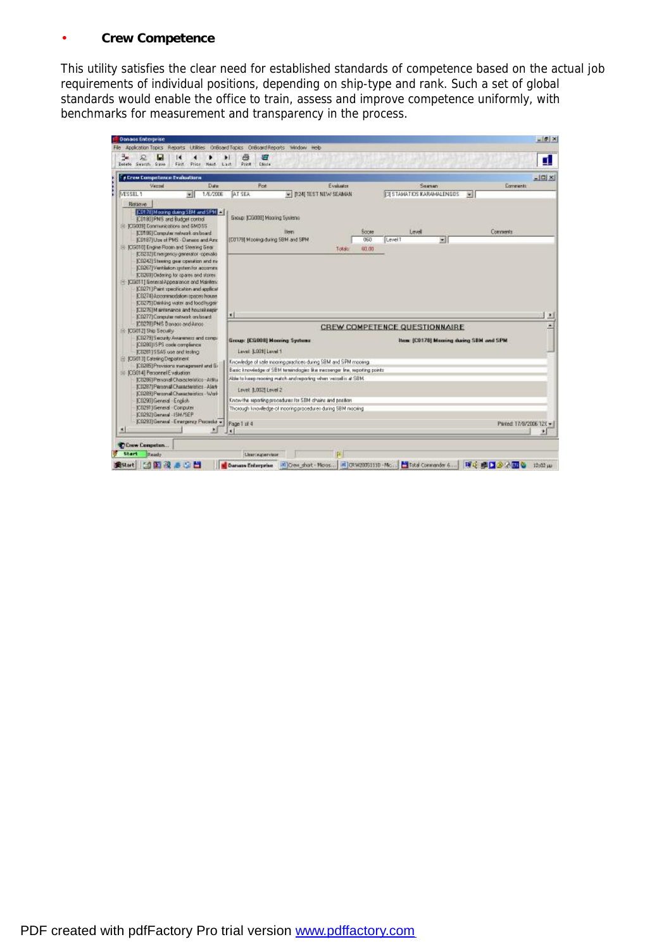# • **Crew Competence**

This utility satisfies the clear need for established standards of competence based on the actual job requirements of individual positions, depending on ship-type and rank. Such a set of global standards would enable the office to train, assess and improve competence uniformly, with benchmarks for measurement and transparency in the process.

| Date<br>Verret<br>MESSEL 1<br>1/6/2006                                                                                                                                                                                                                                                                                                                                                                                                                     | Road                                                                                                                                                                                                           |                                 |        |                                                                                  |                         |
|------------------------------------------------------------------------------------------------------------------------------------------------------------------------------------------------------------------------------------------------------------------------------------------------------------------------------------------------------------------------------------------------------------------------------------------------------------|----------------------------------------------------------------------------------------------------------------------------------------------------------------------------------------------------------------|---------------------------------|--------|----------------------------------------------------------------------------------|-------------------------|
| ₩H                                                                                                                                                                                                                                                                                                                                                                                                                                                         | AT SEA<br>-   [124] TEST NEW SEAMAN                                                                                                                                                                            | Evakadra                        |        | Season<br><b>IT'S STAMATIOS KARAMALENGOS</b>                                     | Commerts<br>×H          |
| (CD176) Mooring during SEM and SPM<br>IC01801PMS and Budget control.<br>El: IOG0091 Conmunications and GMD55<br>(CD186) Campular network an board<br>(CD187) Use of PMS - Danase and Are<br>E- (CG010) Engine Room and Steering Gear<br>ICOZ321E reasgency gamesator -operatio<br>(CO242) Steering gear operation and me<br>[C0267] Vertilation system for accorning<br>ICD2691Ondering for opares and stores<br>F ICG0111 General Appearance and Maintena | Excup: (CG008) Mooning Systems:<br>Hem.<br>[D317B] Mooling during 5BM and SPM                                                                                                                                  | Socre<br>050<br>Toksto<br>63.00 | Level1 | Level<br>国                                                                       | Comments                |
| (CO271) Paint specification and applicat<br>ICO2741 Accommodation apapel house<br>ICD2751Dainking water and lood hugein                                                                                                                                                                                                                                                                                                                                    |                                                                                                                                                                                                                |                                 |        |                                                                                  |                         |
| (CDZ76)M aintenance and housekeapin<br>(CO277) Computer network on board<br>IC02781PNS Danson and Amon-<br>(CIQ79) Security Awareness and congs.<br>(CEQ90) IS PS code complement<br>(CD281) SSAS use and testing                                                                                                                                                                                                                                          | ٠I<br><b>Group: (CGO98) Mooning Systems</b><br>Level: [LOOS] Level 1                                                                                                                                           |                                 |        | <b>CREW COMPETENCE QUESTIONNAIRE</b><br>Item: (C0178) Mooring during SBN and SPM |                         |
| E 1030121 Ship Security<br>E (CG013) Estering Department<br>C0285) Provisions swinegement and Ex-<br>El ICG0141 Personnel Evaluation                                                                                                                                                                                                                                                                                                                       | Knowledge of sale moaning practices during SBM and SPM mooning.<br>Basic knowledge of SBM tenendogies like messenger line, reporting points<br>Able to keep recoing match and reporting when vessel is at SBM. |                                 |        |                                                                                  |                         |
| ICD2961Personal Characteristics-Attitu<br>ICD2971 Personal Characteristics - Alast<br>(CD293) Personal Characteristics - Work<br>IC02901General English<br>IC02911General Computer<br>IC02921General -15M/SEP<br>(CO233) General - Emergency Procedur +                                                                                                                                                                                                    | Level [L002] Level 2<br>Know the reporting procedures for SBM chains and position<br>Thorough knowledge of incoring procedures during SBM mooking.<br>Page 1 of 4                                              |                                 |        |                                                                                  | Parted: 17/8/2006 121 + |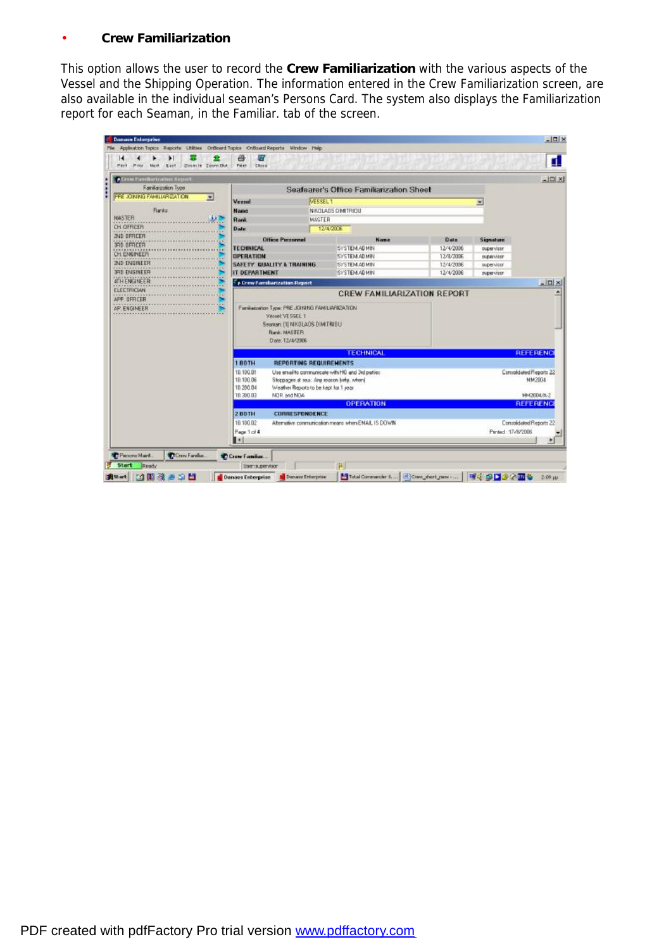# • **Crew Familiarization**

This option allows the user to record the **Crew Familiarization** with the various aspects of the Vessel and the Shipping Operation. The information entered in the Crew Familiarization screen, are also available in the individual seaman's Persons Card. The system also displays the Familiarization report for each Seaman, in the Familiar. tab of the screen.